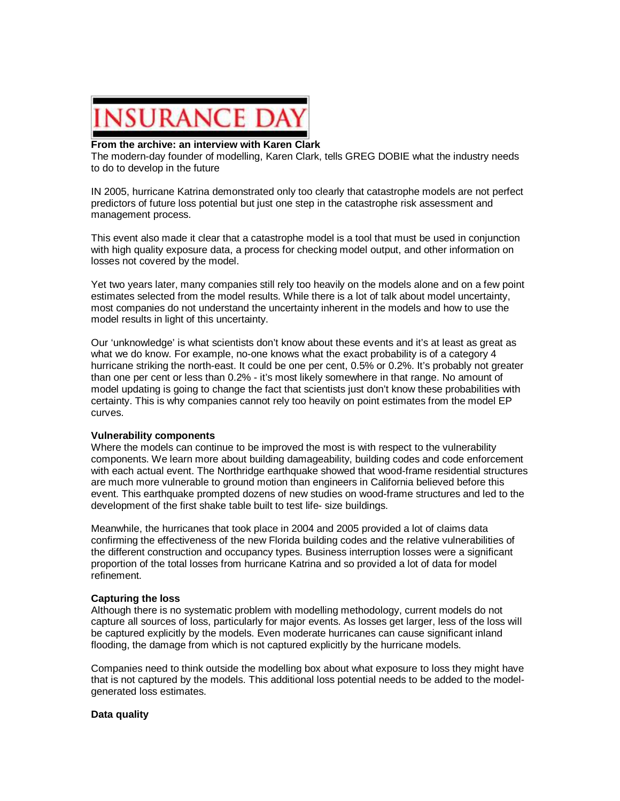

## **From the archive: an interview with Karen Clark**

The modern-day founder of modelling, Karen Clark, tells GREG DOBIE what the industry needs to do to develop in the future

IN 2005, hurricane Katrina demonstrated only too clearly that catastrophe models are not perfect predictors of future loss potential but just one step in the catastrophe risk assessment and management process.

This event also made it clear that a catastrophe model is a tool that must be used in conjunction with high quality exposure data, a process for checking model output, and other information on losses not covered by the model.

Yet two years later, many companies still rely too heavily on the models alone and on a few point estimates selected from the model results. While there is a lot of talk about model uncertainty, most companies do not understand the uncertainty inherent in the models and how to use the model results in light of this uncertainty.

Our 'unknowledge' is what scientists don't know about these events and it's at least as great as what we do know. For example, no-one knows what the exact probability is of a category 4 hurricane striking the north-east. It could be one per cent, 0.5% or 0.2%. It's probably not greater than one per cent or less than 0.2% - it's most likely somewhere in that range. No amount of model updating is going to change the fact that scientists just don't know these probabilities with certainty. This is why companies cannot rely too heavily on point estimates from the model EP curves.

## **Vulnerability components**

Where the models can continue to be improved the most is with respect to the vulnerability components. We learn more about building damageability, building codes and code enforcement with each actual event. The Northridge earthquake showed that wood-frame residential structures are much more vulnerable to ground motion than engineers in California believed before this event. This earthquake prompted dozens of new studies on wood-frame structures and led to the development of the first shake table built to test life- size buildings.

Meanwhile, the hurricanes that took place in 2004 and 2005 provided a lot of claims data confirming the effectiveness of the new Florida building codes and the relative vulnerabilities of the different construction and occupancy types. Business interruption losses were a significant proportion of the total losses from hurricane Katrina and so provided a lot of data for model refinement.

## **Capturing the loss**

Although there is no systematic problem with modelling methodology, current models do not capture all sources of loss, particularly for major events. As losses get larger, less of the loss will be captured explicitly by the models. Even moderate hurricanes can cause significant inland flooding, the damage from which is not captured explicitly by the hurricane models.

Companies need to think outside the modelling box about what exposure to loss they might have that is not captured by the models. This additional loss potential needs to be added to the modelgenerated loss estimates.

## **Data quality**